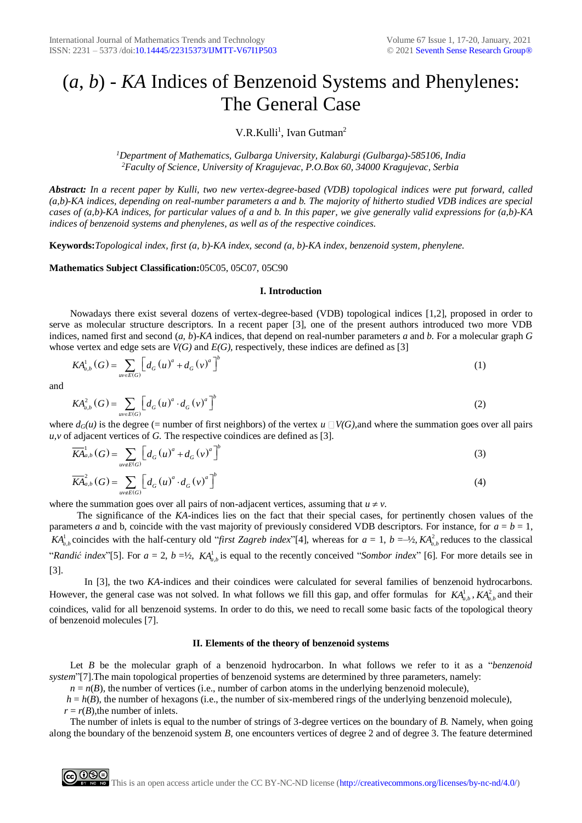# (*a*, *b*) - *KA* Indices of Benzenoid Systems and Phenylenes: The General Case

# V.R.Kulli<sup>1</sup>, Ivan Gutman<sup>2</sup>

*<sup>1</sup>Department of Mathematics, Gulbarga University, Kalaburgi (Gulbarga)-585106, India <sup>2</sup>Faculty of Science, University of Kragujevac, P.O.Box 60, 34000 Kragujevac, Serbia*

*Abstract: In a recent paper by Kulli, two new vertex-degree-based (VDB) topological indices were put forward, called (a,b)-KA indices, depending on real-number parameters a and b. The majority of hitherto studied VDB indices are special cases of (a,b)-KA indices, for particular values of a and b. In this paper, we give generally valid expressions for (a,b)-KA indices of benzenoid systems and phenylenes, as well as of the respective coindices.*

**Keywords:***Topological index, first (a, b)-KA index, second (a, b)-KA index, benzenoid system, phenylene.*

# **Mathematics Subject Classification:**05C05, 05C07, 05C90

## **I. Introduction**

Nowadays there exist several dozens of vertex-degree-based (VDB) topological indices [1,2], proposed in order to serve as molecular structure descriptors. In a recent paper [3], one of the present authors introduced two more VDB indices, named first and second (*a, b*)-*KA* indices, that depend on real-number parameters *a* and *b.* For a molecular graph *G*  whose vertex and edge sets are *V(G)* and *E(G)*, respectively, these indices are defined as [3]

$$
KA_{a,b}^{1}(G) = \sum_{uv \in E(G)} \left[ d_G(u)^{a} + d_G(v)^{a} \right]^{b}
$$
 (1)

and

$$
KA_{a,b}^{2}(G) = \sum_{uv \in E(G)} \left[ d_G(u)^{a} \cdot d_G(v)^{a} \right]^b
$$
\n(2)

where  $d_G(u)$  is the degree (= number of first neighbors) of the vertex  $u \Box V(G)$ , and where the summation goes over all pairs *u,v* of adjacent vertices of *G.* The respective coindices are defined as [3].

$$
\overline{KA}_{a,b}^{1}(G) = \sum_{uv \notin E(G)} \left[ d_G(u)^{a} + d_G(v)^{a} \right]^{b}
$$
\n(3)

$$
\overline{KA}_{a,b}^{2}(G) = \sum_{uv \notin E(G)} \left[ d_G(u)^{a} \cdot d_G(v)^{a} \right]^{b}
$$
\n
$$
(4)
$$

where the summation goes over all pairs of non-adjacent vertices, assuming that  $u \neq v$ .

The significance of the *KA*-indices lies on the fact that their special cases, for pertinently chosen values of the parameters *a* and b, coincide with the vast majority of previously considered VDB descriptors. For instance, for *a* = *b* = 1,  $KA<sup>1</sup><sub>a,b</sub>$  coincides with the half-century old "*first Zagreb index*"[4], whereas for  $a = 1$ ,  $b = -\frac{1}{2}$ ,  $KA<sup>2</sup><sub>a,b</sub>$  reduces to the classical "*Randić index*"[5]. For  $a = 2$ ,  $b = \frac{1}{2}$ ,  $KA_{a,b}^{1}$  is equal to the recently conceived "*Sombor index*" [6]. For more details see in [3].

In [3], the two *KA*-indices and their coindices were calculated for several families of benzenoid hydrocarbons. However, the general case was not solved. In what follows we fill this gap, and offer formulas for  $KA_{a,b}^{1}$ ,  $KA_{a,b}^{2}$  and their coindices, valid for all benzenoid systems. In order to do this, we need to recall some basic facts of the topological theory of benzenoid molecules [7].

#### **II. Elements of the theory of benzenoid systems**

Let *B* be the molecular graph of a benzenoid hydrocarbon. In what follows we refer to it as a "*benzenoid system*"[7].The main topological properties of benzenoid systems are determined by three parameters, namely:

 $n = n(B)$ , the number of vertices (i.e., number of carbon atoms in the underlying benzenoid molecule),

 $h = h(B)$ , the number of hexagons (i.e., the number of six-membered rings of the underlying benzenoid molecule),

 $r = r(B)$ , the number of inlets.

The number of inlets is equal to the number of strings of 3-degree vertices on the boundary of *B.* Namely, when going along the boundary of the benzenoid system *B,* one encounters vertices of degree 2 and of degree 3. The feature determined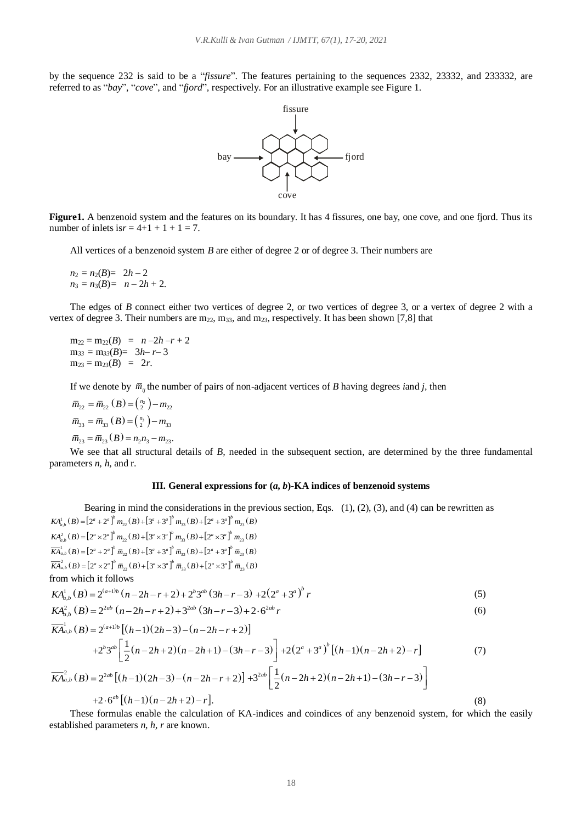by the sequence 232 is said to be a "*fissure*"*.* The features pertaining to the sequences 2332, 23332, and 233332, are referred to as "*bay*", "*cove*", and "*fjord*"*,* respectively. For an illustrative example see Figure 1.



**Figure1.** A benzenoid system and the features on its boundary. It has 4 fissures, one bay, one cove, and one fjord. Thus its number of inlets is  $r = 4+1 + 1 + 1 = 7$ .

All vertices of a benzenoid system *B* are either of degree 2 or of degree 3. Their numbers are

 $n_2 = n_2(B) = 2h - 2$  $n_3 = n_3(B) = n - 2h + 2.$ 

The edges of *B* connect either two vertices of degree 2, or two vertices of degree 3, or a vertex of degree 2 with a vertex of degree 3. Their numbers are  $m_{22}$ ,  $m_{33}$ , and  $m_{23}$ , respectively. It has been shown [7,8] that

 $m_{22} = m_{22}(B) = n -2h - r + 2$  $m_{33} = m_{33}(B) = 3h - r - 3$  $m_{23} = m_{23}(B) = 2r$ .

If we denote by  $\bar{m}_{ij}$  the number of pairs of non-adjacent vertices of *B* having degrees *i*and *j*, then

$$
\overline{m}_{22} = \overline{m}_{22} (B) = \binom{n_2}{2} - m_{22}
$$
\n
$$
\overline{m}_{33} = \overline{m}_{33} (B) = \binom{n_3}{2} - m_{33}
$$
\n
$$
\overline{m}_{23} = \overline{m}_{23} (B) = n_2 n_3 - m_{23}.
$$

We see that all structural details of *B*, needed in the subsequent section, are determined by the three fundamental parameters *n, h,* and r.

## **III. General expressions for (***a***,** *b***)-KA indices of benzenoid systems**

Bearing in mind the considerations in the previous section, Eqs.  $(1)$ ,  $(2)$ ,  $(3)$ , and  $(4)$  can be rewritten as  $KA_{a,b}^{1}(B) = [2^{a} + 2^{a}]^{b} m_{22}(B) + [3^{a} + 3^{a}]^{b} m_{33}(B) + [2^{a} + 3^{a}]^{b} m_{23}(B)$  $KA_{a,b}^{2}(B) = [2^{a} \times 2^{a}]^{b} m_{22}(B) + [3^{a} \times 3^{a}]^{b} m_{33}(B) + [2^{a} \times 3^{a}]^{b} m_{23}(B)$  $\begin{split} \overline{K\!A}^1_{a,b}\left(B\right) \!=\! \left[2^a+2^a\right]^b \,\overline{m}_{22}\left(B\right) \!+\! \left[3^a+3^a\right]^b \,\overline{m}_{33}\left(B\right) \!+\! \left[2^a+3^a\right]^b \,\overline{m}_{23}\left(B\right) \\ \overline{K\!A}^2_{a,b}\left(B\right) \!=\! \left[2^a \!\times\! 2^a\right]^b \,\overline{m}_{22}\left(B\right) \!+\! \left[3^a \!\times\! 3^a\right]^b \,\overline{m}_{33}\left(B\right$  $\overline{KA}_{a,b}^{1}(B) = [2^{a} + 2^{a}]^{b} \overline{m}_{22}(B) + [3^{a} + 3^{a}]^{b} \overline{m}_{33}(B) + [2^{a} + 3^{a}]^{b} \overline{m}_{23}(B)$ <br>  $\overline{KA}_{a,b}^{2}(B) = [2^{a} \times 2^{a}]^{b} \overline{m}_{22}(B) + [3^{a} \times 3^{a}]^{b} \overline{m}_{33}(B) + [2^{a} \times 3^{a}]^{b} \overline{m}_{23}(B)$ from which it follows  $KA_{a,b}^{1}(B) = 2^{(a+1)b} (n-2h-r+2) + 2^{b}3^{ab} (3h-r-3) + 2(2^{a}+3^{a})^{b} r$  $KA_{a,b}^{1}(B) = 2^{(a+1)b} (n-2h-r+2) + 2^{b}3^{ab} (3h-r-3) + 2(2^{a}+3)$ <br> $KA_{a,b}^{2}(B) = 2^{2ab} (n-2h-r+2) + 3^{2ab} (3h-r-3) + 2 \cdot 6^{2ab} r$ (5) (6)  $\overline{KA}_{a,b}^{1}(B) = 2^{(a+1)b} [(h-1)(2h-3)-(n-2h-r+2)]$  $2^{b}3^{ab}$   $\left(\frac{1}{2}(n-2h+2)(n-2h+1)-(3h-r-3)\right)$  $\begin{bmatrix} 1 & 0 & 0 & 0 \end{bmatrix}$  $b + 2^{b}3^{ab} \left[ \frac{1}{2}(n-2h+2)(n-2h+1) - (3h-r-3) \right] + 2(2^{a}+3^{a})^{b} [(h-1)(n-2h+2)-r]$ (7)  $\overline{KA}_{a,b}^{2}(B) = 2^{2ab} [(h-1)(2h-3) - (n-2h-r+2)] + 3^{2ab} \frac{1}{2}(n-2h+2)(n-2h+1) - (3h-r-3)$  $\begin{bmatrix} 1 & 0 & 0 & 0 \end{bmatrix}$  $\left[\frac{1}{2}(n-2h+2)(n-2h+1)-(3h-r-3)\right]$ 

 $+2 \cdot 6^{ab} [(h-1)(n-2h+2)-r].$ 

These formulas enable the calculation of KA-indices and coindices of any benzenoid system, for which the easily established parameters *n*, *h, r* are known.

(8)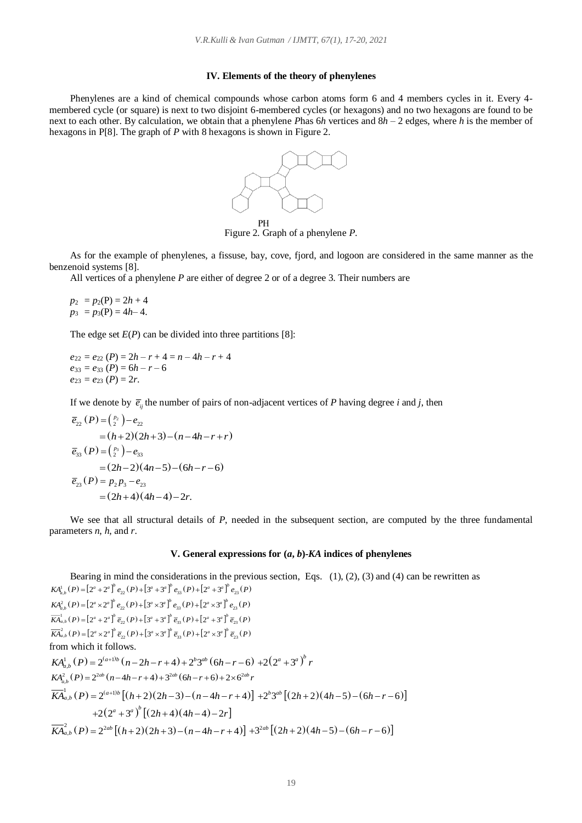#### **IV. Elements of the theory of phenylenes**

Phenylenes are a kind of chemical compounds whose carbon atoms form 6 and 4 members cycles in it. Every 4 membered cycle (or square) is next to two disjoint 6-membered cycles (or hexagons) and no two hexagons are found to be next to each other. By calculation, we obtain that a phenylene *P*has 6*h* vertices and 8*h* – 2 edges, where *h* is the member of hexagons in P[8]. The graph of *P* with 8 hexagons is shown in Figure 2.



Figure 2. Graph of a phenylene *P*.

As for the example of phenylenes, a fissuse, bay, cove, fjord, and logoon are considered in the same manner as the benzenoid systems [8].

All vertices of a phenylene *P* are either of degree 2 or of a degree 3. Their numbers are

$$
p_2 = p_2(P) = 2h + 4
$$
  

$$
p_3 = p_3(P) = 4h - 4.
$$

The edge set  $E(P)$  can be divided into three partitions [8]:

 $e_{22} = e_{22} (P) = 2h - r + 4 = n - 4h - r + 4$  $e_{33} = e_{33} (P) = 6h - r - 6$  $e_{23} = e_{23} (P) = 2r$ .

If we denote by  $\overline{e}_{ij}$  the number of pairs of non-adjacent vertices of *P* having degree *i* and *j*, then

$$
\overline{e}_{22}(P) = \binom{p_2}{2} - e_{22}
$$
\n
$$
= (h+2)(2h+3) - (n-4h-r+r)
$$
\n
$$
\overline{e}_{33}(P) = \binom{p_3}{2} - e_{33}
$$
\n
$$
= (2h-2)(4n-5) - (6h-r-6)
$$
\n
$$
\overline{e}_{23}(P) = p_2 p_3 - e_{23}
$$
\n
$$
= (2h+4)(4h-4) - 2r.
$$

We see that all structural details of *P*, needed in the subsequent section, are computed by the three fundamental parameters *n*, *h*, and *r*.

#### **V. General expressions for (***a***,** *b***)-***KA* **indices of phenylenes**

Bearing in mind the considerations in the previous section, Eqs.  $(1)$ ,  $(2)$ ,  $(3)$  and  $(4)$  can be rewritten as  $KA_{a,b}^{1}(P) = [2^{a} + 2^{a}]^{b} e_{22}(P) + [3^{a} + 3^{a}]^{b} e_{33}(P) + [2^{a} + 3^{a}]^{b} e_{23}(P)$  $KA^2_{a,b}(P) = [2^a \times 2^a]^b e_{22}(P) + [3^a \times 3^a]^b e_{33}(P) + [2^a \times 3^a]^b e_{23}(P)$  $\overline{KA}_{a,b}^{1}(P) = [2^{a} + 2^{a}]^b \overline{e}_{22}(P) + [3^{a} + 3^{a}]^b \overline{e}_{33}(P) + [2^{a} + 3^{a}]^b \overline{e}_{23}(P)$  $\overline{KA}_{a,b}^{2}(P) = [2^{a} \times 2^{a}]^b \overline{e}_{22}(P) + [3^{a} \times 3^{a}]^b \overline{e}_{33}(P) + [2^{a} \times 3^{a}]^b \overline{e}_{23}(P)$ from which it follows. from which it follows.<br>  $KA_{a,b}^{1}(P) = 2^{(a+1)b} (n-2h-r+4) + 2^{b}3^{ab} (6h-r-6) + 2(2^{a}+3^{a})^{b}$  $(a^{a} + 3^{a})^{b}$  *r*  $KA_{a,b}^{2}(P) = 2^{2ab}(n-4h-r+4)+3^{2ab}(6h-r+6)+2\times6^{2ab}r$  $\int_{a,b}^{1} (P) = 2^{(a+1)b} [(h+2)(2h-3) - (n-4h-r+4)]$  $\overline{KA}_{a,b}^{2}(P) = 2^{2ab}(n-4h-r+4)+3^{2ab}(6h-r+6)+2\times6^{2ab}r$ <br>  $\overline{KA}_{a,b}^{1}(P) = 2^{(a+1)b}[(h+2)(2h-3)-(n-4h-r+4)] +2^{b}3^{ab}[(2h+2)(4h-5)-(6h-r-6)]$  $+2(2^a+3^a)^b[(2h+4)(4h-4)-2r]$  $L_{a,b}^{2}(P) = 2^{2ab} [(h+2)(2h+3) - (n-4h-r+4)]$ +2(2<sup>a</sup> + 3<sup>a</sup>) [(2h + 4)(4h - 4) - 2r]<br>  $\overline{KA}_{a,b}^{2}(P) = 2^{2ab} [(h+2)(2h+3) - (n-4h-r+4)] + 3^{2ab} [(2h+2)(4h-5) - (6h-r-6)]$  $+3^{2ab}$   $((2h+2)(4h-5)-(6h-r-6)$